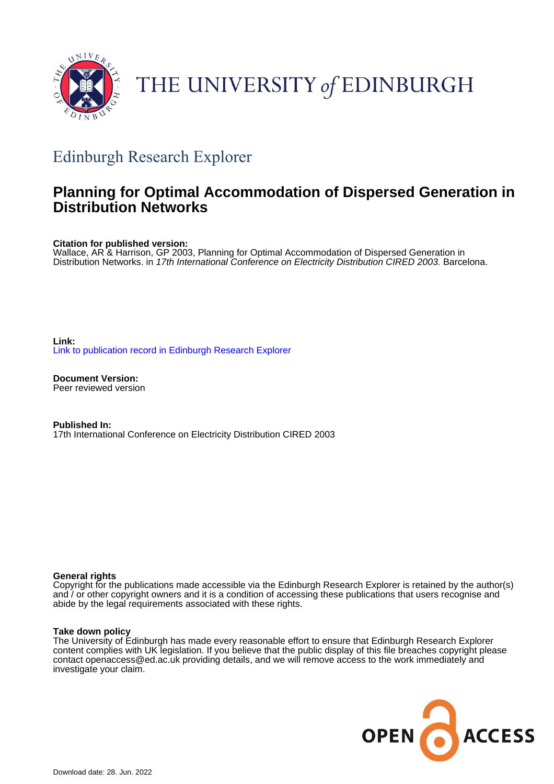

# THE UNIVERSITY of EDINBURGH

## Edinburgh Research Explorer

### **Planning for Optimal Accommodation of Dispersed Generation in Distribution Networks**

**Citation for published version:**

Wallace, AR & Harrison, GP 2003, Planning for Optimal Accommodation of Dispersed Generation in Distribution Networks. in 17th International Conference on Electricity Distribution CIRED 2003. Barcelona.

**Link:** [Link to publication record in Edinburgh Research Explorer](https://www.research.ed.ac.uk/en/publications/7883ad39-fb0f-467b-b332-289f5d056c5f)

**Document Version:** Peer reviewed version

**Published In:** 17th International Conference on Electricity Distribution CIRED 2003

#### **General rights**

Copyright for the publications made accessible via the Edinburgh Research Explorer is retained by the author(s) and / or other copyright owners and it is a condition of accessing these publications that users recognise and abide by the legal requirements associated with these rights.

#### **Take down policy**

The University of Edinburgh has made every reasonable effort to ensure that Edinburgh Research Explorer content complies with UK legislation. If you believe that the public display of this file breaches copyright please contact openaccess@ed.ac.uk providing details, and we will remove access to the work immediately and investigate your claim.

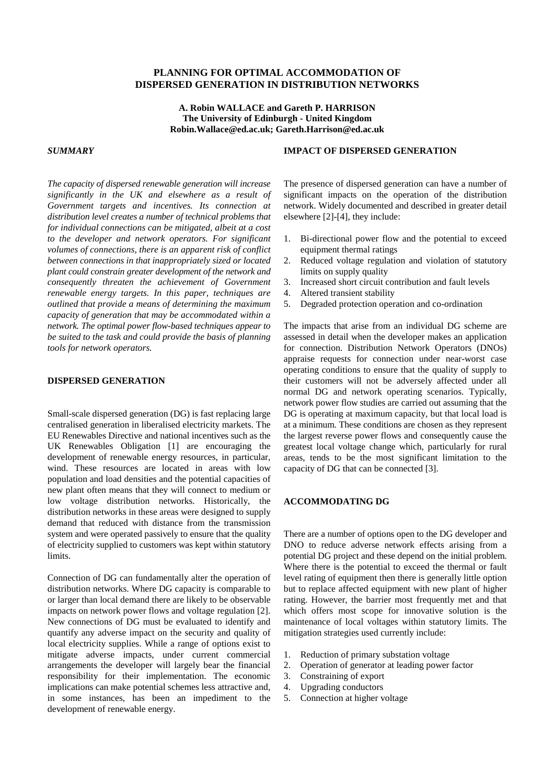#### **PLANNING FOR OPTIMAL ACCOMMODATION OF DISPERSED GENERATION IN DISTRIBUTION NETWORKS**

**A. Robin WALLACE and Gareth P. HARRISON The University of Edinburgh - United Kingdom Robin.Wallace@ed.ac.uk; Gareth.Harrison@ed.ac.uk**

#### *SUMMARY*

**IMPACT OF DISPERSED GENERATION**

*The capacity of dispersed renewable generation will increase significantly in the UK and elsewhere as a result of Government targets and incentives. Its connection at distribution level creates a number of technical problems that for individual connections can be mitigated, albeit at a cost to the developer and network operators. For significant volumes of connections, there is an apparent risk of conflict between connections in that inappropriately sized or located plant could constrain greater development of the network and consequently threaten the achievement of Government renewable energy targets. In this paper, techniques are outlined that provide a means of determining the maximum capacity of generation that may be accommodated within a network. The optimal power flow-based techniques appear to be suited to the task and could provide the basis of planning tools for network operators.*

#### **DISPERSED GENERATION**

Small-scale dispersed generation (DG) is fast replacing large centralised generation in liberalised electricity markets. The EU Renewables Directive and national incentives such as the UK Renewables Obligation [1] are encouraging the development of renewable energy resources, in particular, wind. These resources are located in areas with low population and load densities and the potential capacities of new plant often means that they will connect to medium or low voltage distribution networks. Historically, the distribution networks in these areas were designed to supply demand that reduced with distance from the transmission system and were operated passively to ensure that the quality of electricity supplied to customers was kept within statutory limits.

Connection of DG can fundamentally alter the operation of distribution networks. Where DG capacity is comparable to or larger than local demand there are likely to be observable impacts on network power flows and voltage regulation [2]. New connections of DG must be evaluated to identify and quantify any adverse impact on the security and quality of local electricity supplies. While a range of options exist to mitigate adverse impacts, under current commercial arrangements the developer will largely bear the financial responsibility for their implementation. The economic implications can make potential schemes less attractive and, in some instances, has been an impediment to the development of renewable energy.

The presence of dispersed generation can have a number of significant impacts on the operation of the distribution network. Widely documented and described in greater detail elsewhere [2]-[4], they include:

- 1. Bi-directional power flow and the potential to exceed equipment thermal ratings
- 2. Reduced voltage regulation and violation of statutory limits on supply quality
- 3. Increased short circuit contribution and fault levels
- 4. Altered transient stability
- 5. Degraded protection operation and co-ordination

The impacts that arise from an individual DG scheme are assessed in detail when the developer makes an application for connection. Distribution Network Operators (DNOs) appraise requests for connection under near-worst case operating conditions to ensure that the quality of supply to their customers will not be adversely affected under all normal DG and network operating scenarios. Typically, network power flow studies are carried out assuming that the DG is operating at maximum capacity, but that local load is at a minimum. These conditions are chosen as they represent the largest reverse power flows and consequently cause the greatest local voltage change which, particularly for rural areas, tends to be the most significant limitation to the capacity of DG that can be connected [3].

#### **ACCOMMODATING DG**

There are a number of options open to the DG developer and DNO to reduce adverse network effects arising from a potential DG project and these depend on the initial problem. Where there is the potential to exceed the thermal or fault level rating of equipment then there is generally little option but to replace affected equipment with new plant of higher rating. However, the barrier most frequently met and that which offers most scope for innovative solution is the maintenance of local voltages within statutory limits. The mitigation strategies used currently include:

- 1. Reduction of primary substation voltage
- 2. Operation of generator at leading power factor
- 3. Constraining of export
- 4. Upgrading conductors
- 5. Connection at higher voltage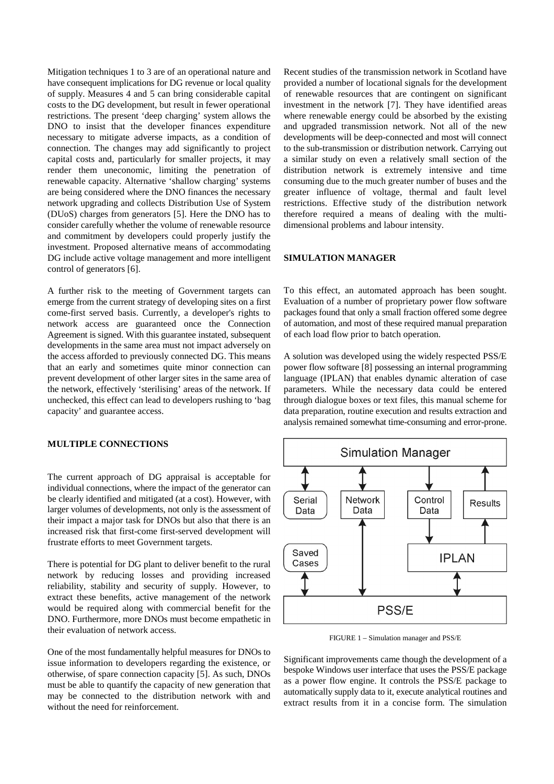Mitigation techniques 1 to 3 are of an operational nature and have consequent implications for DG revenue or local quality of supply. Measures 4 and 5 can bring considerable capital costs to the DG development, but result in fewer operational restrictions. The present 'deep charging' system allows the DNO to insist that the developer finances expenditure necessary to mitigate adverse impacts, as a condition of connection. The changes may add significantly to project capital costs and, particularly for smaller projects, it may render them uneconomic, limiting the penetration of renewable capacity. Alternative 'shallow charging' systems are being considered where the DNO finances the necessary network upgrading and collects Distribution Use of System (DUoS) charges from generators [5]. Here the DNO has to consider carefully whether the volume of renewable resource and commitment by developers could properly justify the investment. Proposed alternative means of accommodating DG include active voltage management and more intelligent control of generators [6].

A further risk to the meeting of Government targets can emerge from the current strategy of developing sites on a first come-first served basis. Currently, a developer's rights to network access are guaranteed once the Connection Agreement is signed. With this guarantee instated, subsequent developments in the same area must not impact adversely on the access afforded to previously connected DG. This means that an early and sometimes quite minor connection can prevent development of other larger sites in the same area of the network, effectively 'sterilising' areas of the network. If unchecked, this effect can lead to developers rushing to 'bag capacity' and guarantee access.

#### **MULTIPLE CONNECTIONS**

The current approach of DG appraisal is acceptable for individual connections, where the impact of the generator can be clearly identified and mitigated (at a cost). However, with larger volumes of developments, not only is the assessment of their impact a major task for DNOs but also that there is an increased risk that first-come first-served development will frustrate efforts to meet Government targets.

There is potential for DG plant to deliver benefit to the rural network by reducing losses and providing increased reliability, stability and security of supply. However, to extract these benefits, active management of the network would be required along with commercial benefit for the DNO. Furthermore, more DNOs must become empathetic in their evaluation of network access.

One of the most fundamentally helpful measures for DNOs to issue information to developers regarding the existence, or otherwise, of spare connection capacity [5]. As such, DNOs must be able to quantify the capacity of new generation that may be connected to the distribution network with and without the need for reinforcement.

Recent studies of the transmission network in Scotland have provided a number of locational signals for the development of renewable resources that are contingent on significant investment in the network [7]. They have identified areas where renewable energy could be absorbed by the existing and upgraded transmission network. Not all of the new developments will be deep-connected and most will connect to the sub-transmission or distribution network. Carrying out a similar study on even a relatively small section of the distribution network is extremely intensive and time consuming due to the much greater number of buses and the greater influence of voltage, thermal and fault level restrictions. Effective study of the distribution network therefore required a means of dealing with the multidimensional problems and labour intensity.

#### **SIMULATION MANAGER**

To this effect, an automated approach has been sought. Evaluation of a number of proprietary power flow software packages found that only a small fraction offered some degree of automation, and most of these required manual preparation of each load flow prior to batch operation.

A solution was developed using the widely respected PSS/E power flow software [8] possessing an internal programming language (IPLAN) that enables dynamic alteration of case parameters. While the necessary data could be entered through dialogue boxes or text files, this manual scheme for data preparation, routine execution and results extraction and analysis remained somewhat time-consuming and error-prone.



FIGURE 1 – Simulation manager and PSS/E

Significant improvements came though the development of a bespoke Windows user interface that uses the PSS/E package as a power flow engine. It controls the PSS/E package to automatically supply data to it, execute analytical routines and extract results from it in a concise form. The simulation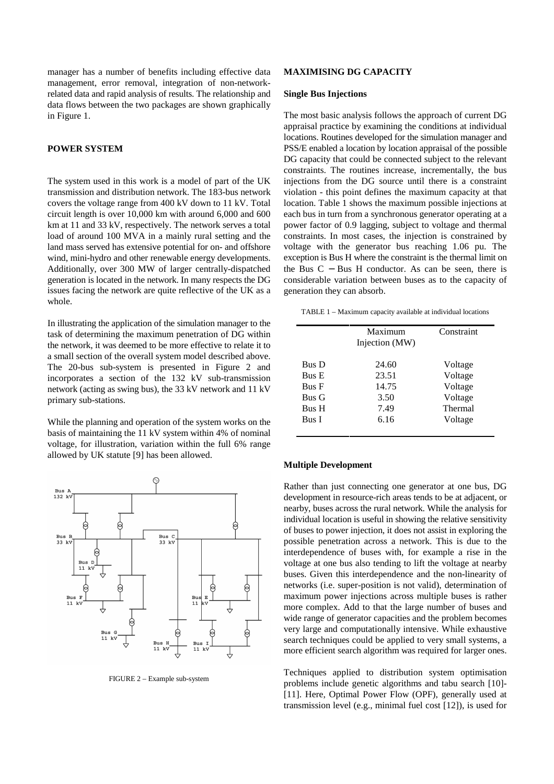manager has a number of benefits including effective data management, error removal, integration of non-networkrelated data and rapid analysis of results. The relationship and data flows between the two packages are shown graphically in Figure 1.

#### **POWER SYSTEM**

The system used in this work is a model of part of the UK transmission and distribution network. The 183-bus network covers the voltage range from 400 kV down to 11 kV. Total circuit length is over 10,000 km with around 6,000 and 600 km at 11 and 33 kV, respectively. The network serves a total load of around 100 MVA in a mainly rural setting and the land mass served has extensive potential for on- and offshore wind, mini-hydro and other renewable energy developments. Additionally, over 300 MW of larger centrally-dispatched generation is located in the network. In many respects the DG issues facing the network are quite reflective of the UK as a whole.

In illustrating the application of the simulation manager to the task of determining the maximum penetration of DG within the network, it was deemed to be more effective to relate it to a small section of the overall system model described above. The 20-bus sub-system is presented in Figure 2 and incorporates a section of the 132 kV sub-transmission network (acting as swing bus), the 33 kV network and 11 kV primary sub-stations.

While the planning and operation of the system works on the basis of maintaining the 11 kV system within 4% of nominal voltage, for illustration, variation within the full 6% range allowed by UK statute [9] has been allowed.



FIGURE 2 – Example sub-system

#### **MAXIMISING DG CAPACITY**

#### **Single Bus Injections**

The most basic analysis follows the approach of current DG appraisal practice by examining the conditions at individual locations. Routines developed for the simulation manager and PSS/E enabled a location by location appraisal of the possible DG capacity that could be connected subject to the relevant constraints. The routines increase, incrementally, the bus injections from the DG source until there is a constraint violation - this point defines the maximum capacity at that location. Table 1 shows the maximum possible injections at each bus in turn from a synchronous generator operating at a power factor of 0.9 lagging, subject to voltage and thermal constraints. In most cases, the injection is constrained by voltage with the generator bus reaching 1.06 pu. The exception is Bus H where the constraint is the thermal limit on the Bus  $C - B$ us H conductor. As can be seen, there is considerable variation between buses as to the capacity of generation they can absorb.

TABLE 1 – Maximum capacity available at individual locations

|              | Maximum<br>Injection (MW) | Constraint |
|--------------|---------------------------|------------|
| <b>Bus</b> D | 24.60                     | Voltage    |
| <b>Bus E</b> | 23.51                     | Voltage    |
| <b>Bus F</b> | 14.75                     | Voltage    |
| <b>Bus G</b> | 3.50                      | Voltage    |
| <b>Bus H</b> | 7.49                      | Thermal    |
| Bus I        | 6.16                      | Voltage    |

#### **Multiple Development**

Rather than just connecting one generator at one bus, DG development in resource-rich areas tends to be at adjacent, or nearby, buses across the rural network. While the analysis for individual location is useful in showing the relative sensitivity of buses to power injection, it does not assist in exploring the possible penetration across a network. This is due to the interdependence of buses with, for example a rise in the voltage at one bus also tending to lift the voltage at nearby buses. Given this interdependence and the non-linearity of networks (i.e. super-position is not valid), determination of maximum power injections across multiple buses is rather more complex. Add to that the large number of buses and wide range of generator capacities and the problem becomes very large and computationally intensive. While exhaustive search techniques could be applied to very small systems, a more efficient search algorithm was required for larger ones.

Techniques applied to distribution system optimisation problems include genetic algorithms and tabu search [10]- [11]. Here, Optimal Power Flow (OPF), generally used at transmission level (e.g., minimal fuel cost [12]), is used for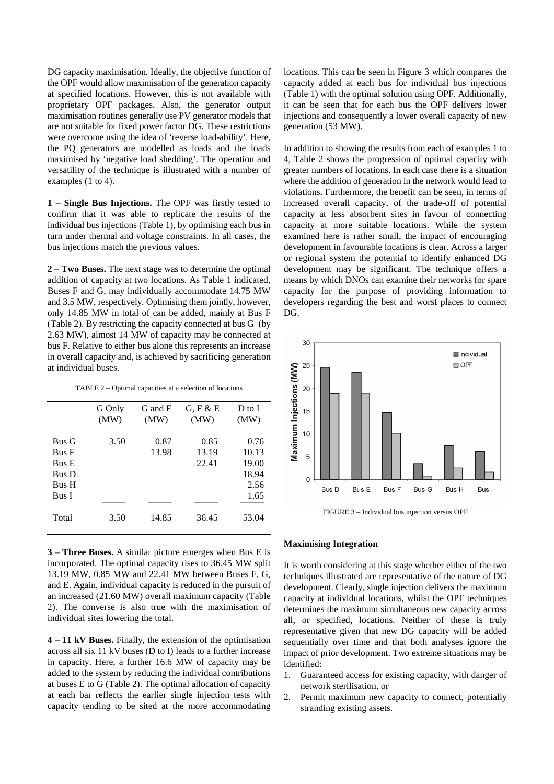DG capacity maximisation. Ideally, the objective function of the OPF would allow maximisation of the generation capacity at specified locations. However, this is not available with proprietary OPF packages. Also, the generator output maximisation routines generally use PV generator models that are not suitable for fixed power factor DG. These restrictions were overcome using the idea of 'reverse load-ability'. Here, the PQ generators are modelled as loads and the loads maximised by 'negative load shedding'. The operation and versatility of the technique is illustrated with a number of examples (1 to 4).

**1** – **Single Bus Injections.** The OPF was firstly tested to confirm that it was able to replicate the results of the individual bus injections (Table 1), by optimising each bus in turn under thermal and voltage constraints. In all cases, the bus injections match the previous values.

**2** – **Two Buses.** The next stage was to determine the optimal addition of capacity at two locations. As Table 1 indicated, Buses F and G, may individually accommodate 14.75 MW and 3.5 MW, respectively. Optimising them jointly, however, only 14.85 MW in total of can be added, mainly at Bus F (Table 2). By restricting the capacity connected at bus G (by 2.63 MW), almost 14 MW of capacity may be connected at bus F. Relative to either bus alone this represents an increase in overall capacity and, is achieved by sacrificing generation at individual buses.

TABLE 2 – Optimal capacities at a selection of locations

|              | G Only | G and F | $G$ , F & E | $D$ to $I$ |
|--------------|--------|---------|-------------|------------|
|              | (MW)   | (MW)    | (MW)        | (MW)       |
|              |        |         |             |            |
| <b>Bus G</b> | 3.50   | 0.87    | 0.85        | 0.76       |
| <b>Bus F</b> |        | 13.98   | 13.19       | 10.13      |
| <b>Bus E</b> |        |         | 22.41       | 19.00      |
| <b>Bus</b> D |        |         |             | 18.94      |
| <b>Bus</b> H |        |         |             | 2.56       |
| Bus I        |        |         |             | 1.65       |
|              |        |         |             |            |
| Total        | 3.50   | 14.85   | 36.45       | 53.04      |
|              |        |         |             |            |

**3** – **Three Buses.** A similar picture emerges when Bus E is incorporated. The optimal capacity rises to 36.45 MW split 13.19 MW, 0.85 MW and 22.41 MW between Buses F, G, and E. Again, individual capacity is reduced in the pursuit of an increased (21.60 MW) overall maximum capacity (Table 2). The converse is also true with the maximisation of individual sites lowering the total.

**4** – **11 kV Buses.** Finally, the extension of the optimisation across all six 11 kV buses (D to I) leads to a further increase in capacity. Here, a further 16.6 MW of capacity may be added to the system by reducing the individual contributions at buses E to G (Table 2). The optimal allocation of capacity at each bar reflects the earlier single injection tests with capacity tending to be sited at the more accommodating

locations. This can be seen in Figure 3 which compares the capacity added at each bus for individual bus injections (Table 1) with the optimal solution using OPF. Additionally, it can be seen that for each bus the OPF delivers lower injections and consequently a lower overall capacity of new generation (53 MW).

In addition to showing the results from each of examples 1 to 4, Table 2 shows the progression of optimal capacity with greater numbers of locations. In each case there is a situation where the addition of generation in the network would lead to violations. Furthermore, the benefit can be seen, in terms of increased overall capacity, of the trade-off of potential capacity at less absorbent sites in favour of connecting capacity at more suitable locations. While the system examined here is rather small, the impact of encouraging development in favourable locations is clear. Across a larger or regional system the potential to identify enhanced DG development may be significant. The technique offers a means by which DNOs can examine their networks for spare capacity for the purpose of providing information to developers regarding the best and worst places to connect DG.



FIGURE 3 – Individual bus injection versus OPF

#### **Maximising Integration**

It is worth considering at this stage whether either of the two techniques illustrated are representative of the nature of DG development. Clearly, single injection delivers the maximum capacity at individual locations, whilst the OPF techniques determines the maximum simultaneous new capacity across all, or specified, locations. Neither of these is truly representative given that new DG capacity will be added sequentially over time and that both analyses ignore the impact of prior development. Two extreme situations may be identified:

- 1. Guaranteed access for existing capacity, with danger of network sterilisation, or
- 2. Permit maximum new capacity to connect, potentially stranding existing assets.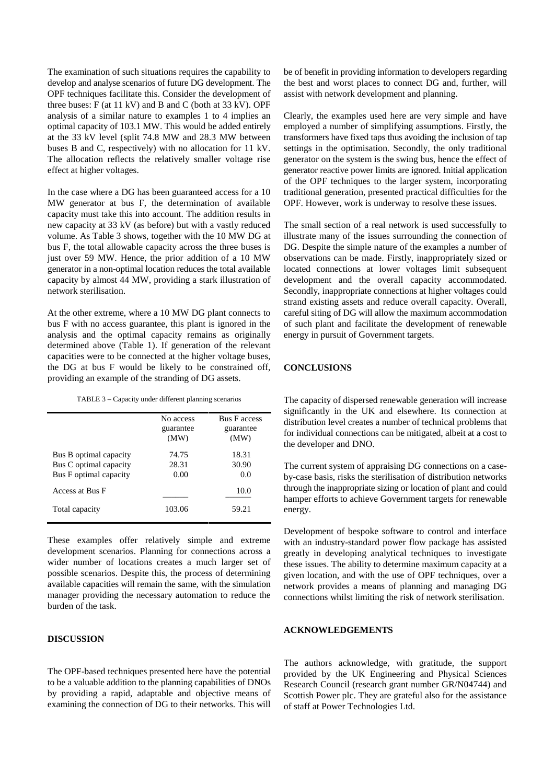The examination of such situations requires the capability to develop and analyse scenarios of future DG development. The OPF techniques facilitate this. Consider the development of three buses:  $F$  (at 11 kV) and B and C (both at 33 kV). OPF analysis of a similar nature to examples 1 to 4 implies an optimal capacity of 103.1 MW. This would be added entirely at the 33 kV level (split 74.8 MW and 28.3 MW between buses B and C, respectively) with no allocation for 11 kV. The allocation reflects the relatively smaller voltage rise effect at higher voltages.

In the case where a DG has been guaranteed access for a 10 MW generator at bus F, the determination of available capacity must take this into account. The addition results in new capacity at 33 kV (as before) but with a vastly reduced volume. As Table 3 shows, together with the 10 MW DG at bus F, the total allowable capacity across the three buses is just over 59 MW. Hence, the prior addition of a 10 MW generator in a non-optimal location reduces the total available capacity by almost 44 MW, providing a stark illustration of network sterilisation.

At the other extreme, where a 10 MW DG plant connects to bus F with no access guarantee, this plant is ignored in the analysis and the optimal capacity remains as originally determined above (Table 1). If generation of the relevant capacities were to be connected at the higher voltage buses, the DG at bus F would be likely to be constrained off, providing an example of the stranding of DG assets.

TABLE 3 – Capacity under different planning scenarios

|                                                                            | No access<br>guarantee<br>(MW) | <b>Bus F</b> access<br>guarantee<br>(MW) |
|----------------------------------------------------------------------------|--------------------------------|------------------------------------------|
| Bus B optimal capacity<br>Bus C optimal capacity<br>Bus F optimal capacity | 74.75<br>28.31<br>0.00         | 18.31<br>30.90<br>0.0                    |
| Access at Bus F                                                            |                                | 10.0                                     |
| Total capacity                                                             | 103.06                         | 59.21                                    |

These examples offer relatively simple and extreme development scenarios. Planning for connections across a wider number of locations creates a much larger set of possible scenarios. Despite this, the process of determining available capacities will remain the same, with the simulation manager providing the necessary automation to reduce the burden of the task.

#### **DISCUSSION**

The OPF-based techniques presented here have the potential to be a valuable addition to the planning capabilities of DNOs by providing a rapid, adaptable and objective means of examining the connection of DG to their networks. This will be of benefit in providing information to developers regarding the best and worst places to connect DG and, further, will assist with network development and planning.

Clearly, the examples used here are very simple and have employed a number of simplifying assumptions. Firstly, the transformers have fixed taps thus avoiding the inclusion of tap settings in the optimisation. Secondly, the only traditional generator on the system is the swing bus, hence the effect of generator reactive power limits are ignored. Initial application of the OPF techniques to the larger system, incorporating traditional generation, presented practical difficulties for the OPF. However, work is underway to resolve these issues.

The small section of a real network is used successfully to illustrate many of the issues surrounding the connection of DG. Despite the simple nature of the examples a number of observations can be made. Firstly, inappropriately sized or located connections at lower voltages limit subsequent development and the overall capacity accommodated. Secondly, inappropriate connections at higher voltages could strand existing assets and reduce overall capacity. Overall, careful siting of DG will allow the maximum accommodation of such plant and facilitate the development of renewable energy in pursuit of Government targets.

#### **CONCLUSIONS**

The capacity of dispersed renewable generation will increase significantly in the UK and elsewhere. Its connection at distribution level creates a number of technical problems that for individual connections can be mitigated, albeit at a cost to the developer and DNO.

The current system of appraising DG connections on a caseby-case basis, risks the sterilisation of distribution networks through the inappropriate sizing or location of plant and could hamper efforts to achieve Government targets for renewable energy.

Development of bespoke software to control and interface with an industry-standard power flow package has assisted greatly in developing analytical techniques to investigate these issues. The ability to determine maximum capacity at a given location, and with the use of OPF techniques, over a network provides a means of planning and managing DG connections whilst limiting the risk of network sterilisation.

#### **ACKNOWLEDGEMENTS**

The authors acknowledge, with gratitude, the support provided by the UK Engineering and Physical Sciences Research Council (research grant number GR/N04744) and Scottish Power plc. They are grateful also for the assistance of staff at Power Technologies Ltd.